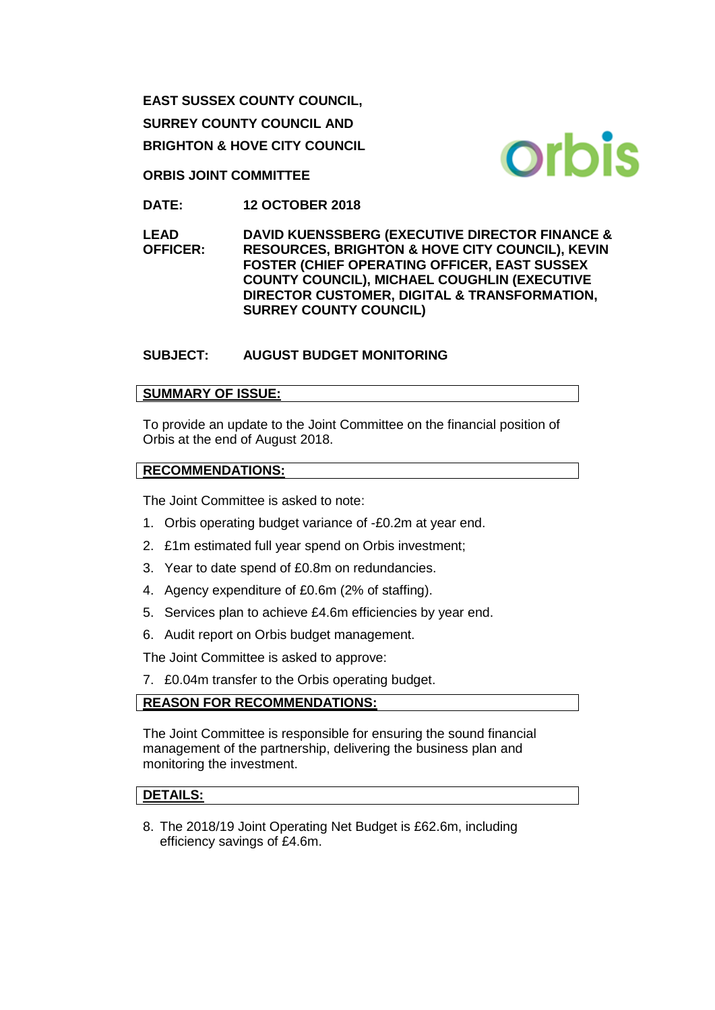**EAST SUSSEX COUNTY COUNCIL, SURREY COUNTY COUNCIL AND BRIGHTON & HOVE CITY COUNCIL**

**ORBIS JOINT COMMITTEE**

**DATE: 12 OCTOBER 2018**

**LEAD OFFICER: DAVID KUENSSBERG (EXECUTIVE DIRECTOR FINANCE & RESOURCES, BRIGHTON & HOVE CITY COUNCIL), KEVIN FOSTER (CHIEF OPERATING OFFICER, EAST SUSSEX COUNTY COUNCIL), MICHAEL COUGHLIN (EXECUTIVE DIRECTOR CUSTOMER, DIGITAL & TRANSFORMATION, SURREY COUNTY COUNCIL)** 

**SUBJECT: AUGUST BUDGET MONITORING**

# **SUMMARY OF ISSUE:**

To provide an update to the Joint Committee on the financial position of Orbis at the end of August 2018.

## **RECOMMENDATIONS:**

The Joint Committee is asked to note:

- 1. Orbis operating budget variance of -£0.2m at year end.
- 2. £1m estimated full year spend on Orbis investment;
- 3. Year to date spend of £0.8m on redundancies.
- 4. Agency expenditure of £0.6m (2% of staffing).
- 5. Services plan to achieve £4.6m efficiencies by year end.
- 6. Audit report on Orbis budget management.

The Joint Committee is asked to approve:

7. £0.04m transfer to the Orbis operating budget.

# **REASON FOR RECOMMENDATIONS:**

The Joint Committee is responsible for ensuring the sound financial management of the partnership, delivering the business plan and monitoring the investment.

# **DETAILS:**

8. The 2018/19 Joint Operating Net Budget is £62.6m, including efficiency savings of £4.6m.

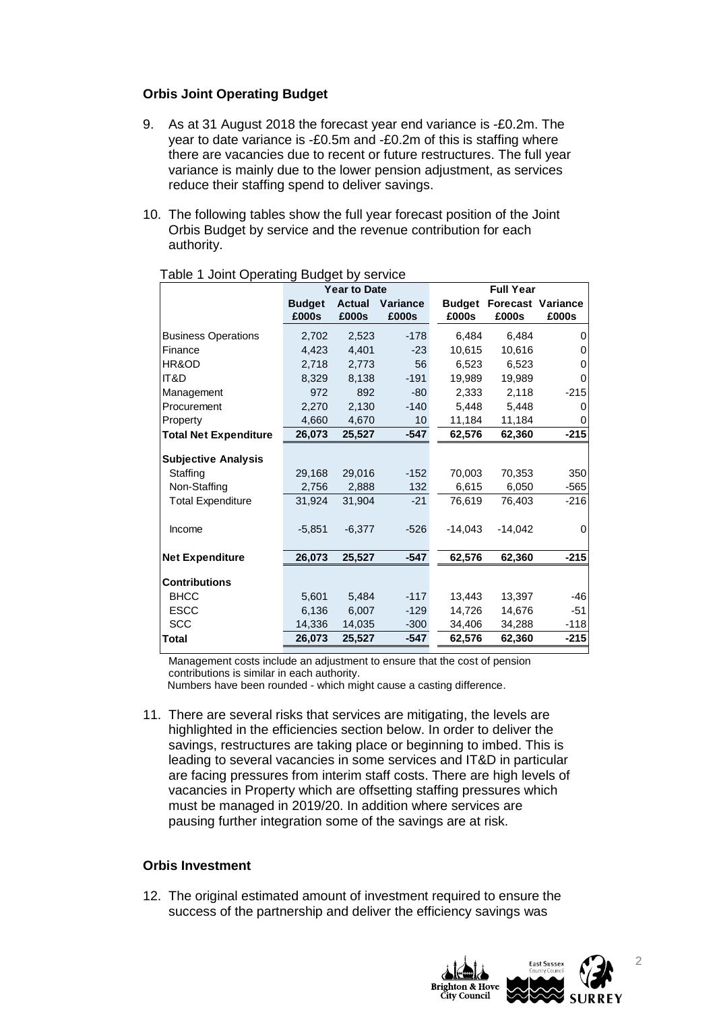#### **Orbis Joint Operating Budget**

- 9. As at 31 August 2018 the forecast year end variance is -£0.2m. The year to date variance is -£0.5m and -£0.2m of this is staffing where there are vacancies due to recent or future restructures. The full year variance is mainly due to the lower pension adjustment, as services reduce their staffing spend to deliver savings.
- 10. The following tables show the full year forecast position of the Joint Orbis Budget by service and the revenue contribution for each authority.

|                              | <b>Year to Date</b>    |                        |                   | <b>Full Year</b>       |                                   |          |
|------------------------------|------------------------|------------------------|-------------------|------------------------|-----------------------------------|----------|
|                              | <b>Budget</b><br>£000s | <b>Actual</b><br>£000s | Variance<br>£000s | <b>Budget</b><br>£000s | <b>Forecast Variance</b><br>£000s | £000s    |
| <b>Business Operations</b>   | 2,702                  | 2,523                  | $-178$            | 6,484                  | 6,484                             | 0        |
| Finance                      | 4,423                  | 4,401                  | $-23$             | 10,615                 | 10,616                            | $\Omega$ |
| HR&OD                        | 2,718                  | 2,773                  | 56                | 6,523                  | 6,523                             | $\Omega$ |
| IT&D                         | 8,329                  | 8,138                  | $-191$            | 19.989                 | 19.989                            | $\Omega$ |
| Management                   | 972                    | 892                    | -80               | 2,333                  | 2,118                             | $-215$   |
| Procurement                  | 2,270                  | 2,130                  | $-140$            | 5.448                  | 5.448                             | 0        |
| Property                     | 4,660                  | 4,670                  | 10 <sup>1</sup>   | 11,184                 | 11,184                            | $\Omega$ |
| <b>Total Net Expenditure</b> | 26,073                 | 25,527                 | $-547$            | 62,576                 | 62,360                            | $-215$   |
| <b>Subjective Analysis</b>   |                        |                        |                   |                        |                                   |          |
| Staffing                     | 29,168                 | 29,016                 | $-152$            | 70,003                 | 70,353                            | 350      |
| Non-Staffing                 | 2,756                  | 2,888                  | 132               | 6,615                  | 6,050                             | $-565$   |
| <b>Total Expenditure</b>     | 31,924                 | 31,904                 | $-21$             | 76,619                 | 76,403                            | $-216$   |
| Income                       | $-5,851$               | $-6,377$               | $-526$            | $-14.043$              | $-14.042$                         | 0        |
| <b>Net Expenditure</b>       | 26,073                 | 25,527                 | $-547$            | 62,576                 | 62,360                            | $-215$   |
| <b>Contributions</b>         |                        |                        |                   |                        |                                   |          |
| <b>BHCC</b>                  | 5,601                  | 5,484                  | $-117$            | 13,443                 | 13,397                            | $-46$    |
| <b>ESCC</b>                  | 6,136                  | 6,007                  | $-129$            | 14,726                 | 14,676                            | $-51$    |
| <b>SCC</b>                   | 14,336                 | 14,035                 | $-300$            | 34,406                 | 34,288                            | $-118$   |
| <b>Total</b>                 | 26,073                 | 25,527                 | $-547$            | 62,576                 | 62,360                            | $-215$   |
|                              |                        |                        |                   |                        |                                   |          |

Table 1 Joint Operating Budget by service

Management costs include an adjustment to ensure that the cost of pension contributions is similar in each authority.

Numbers have been rounded - which might cause a casting difference.

11. There are several risks that services are mitigating, the levels are highlighted in the efficiencies section below. In order to deliver the savings, restructures are taking place or beginning to imbed. This is leading to several vacancies in some services and IT&D in particular are facing pressures from interim staff costs. There are high levels of vacancies in Property which are offsetting staffing pressures which must be managed in 2019/20. In addition where services are pausing further integration some of the savings are at risk.

#### **Orbis Investment**

12. The original estimated amount of investment required to ensure the success of the partnership and deliver the efficiency savings was

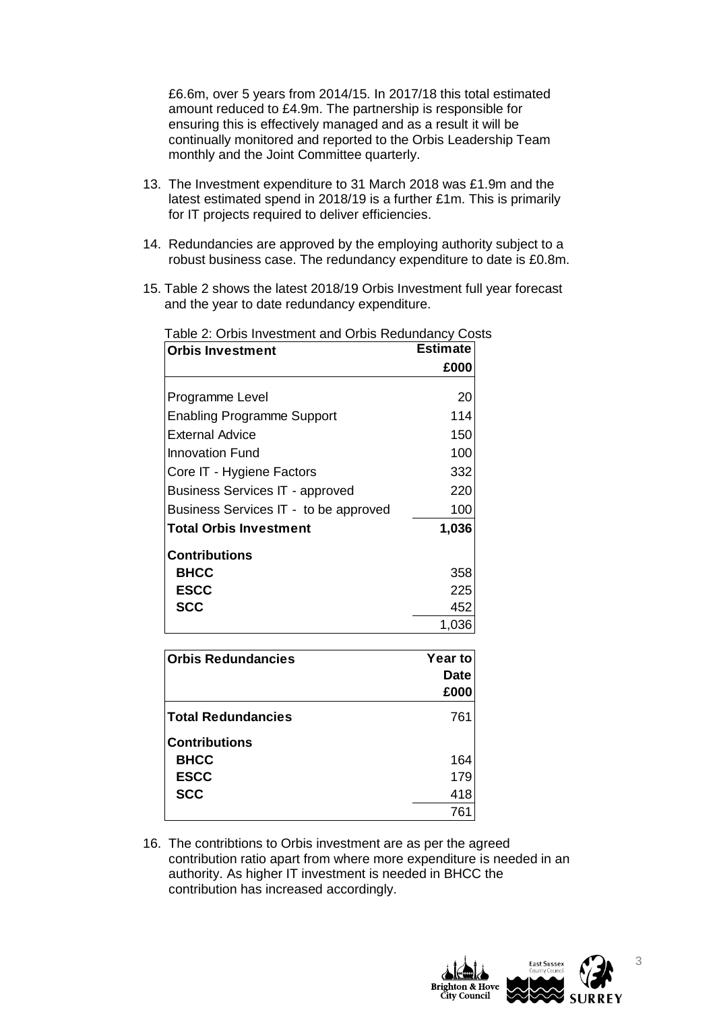£6.6m, over 5 years from 2014/15. In 2017/18 this total estimated amount reduced to £4.9m. The partnership is responsible for ensuring this is effectively managed and as a result it will be continually monitored and reported to the Orbis Leadership Team monthly and the Joint Committee quarterly.

- 13. The Investment expenditure to 31 March 2018 was £1.9m and the latest estimated spend in 2018/19 is a further £1m. This is primarily for IT projects required to deliver efficiencies.
- 14. Redundancies are approved by the employing authority subject to a robust business case. The redundancy expenditure to date is £0.8m.
- 15. Table 2 shows the latest 2018/19 Orbis Investment full year forecast and the year to date redundancy expenditure.

| <b>Orbis Investment</b>                | <b>Estimate</b> |
|----------------------------------------|-----------------|
|                                        | £000            |
| Programme Level                        | 20              |
| <b>Enabling Programme Support</b>      | 114             |
| External Advice                        | 150             |
| Innovation Fund                        | 100             |
| Core IT - Hygiene Factors              | 332             |
| <b>Business Services IT - approved</b> | 220             |
| Business Services IT - to be approved  | 100             |
| Total Orbis Investment                 | 1,036           |
| Contributions                          |                 |
| <b>BHCC</b>                            | 358             |
| <b>ESCC</b>                            | 225             |
| <b>SCC</b>                             | 452             |
|                                        | 1,036           |

Table 2: Orbis Investment and Orbis Redundancy Costs

| <b>Orbis Redundancies</b> | Year to     |  |  |
|---------------------------|-------------|--|--|
|                           | <b>Date</b> |  |  |
|                           | £000        |  |  |
| <b>Total Redundancies</b> | 761         |  |  |
| <b>Contributions</b>      |             |  |  |
| <b>BHCC</b>               | 164         |  |  |
| <b>ESCC</b>               | 179         |  |  |
| <b>SCC</b>                | 418         |  |  |
|                           | 761         |  |  |

16. The contribtions to Orbis investment are as per the agreed contribution ratio apart from where more expenditure is needed in an authority. As higher IT investment is needed in BHCC the contribution has increased accordingly.

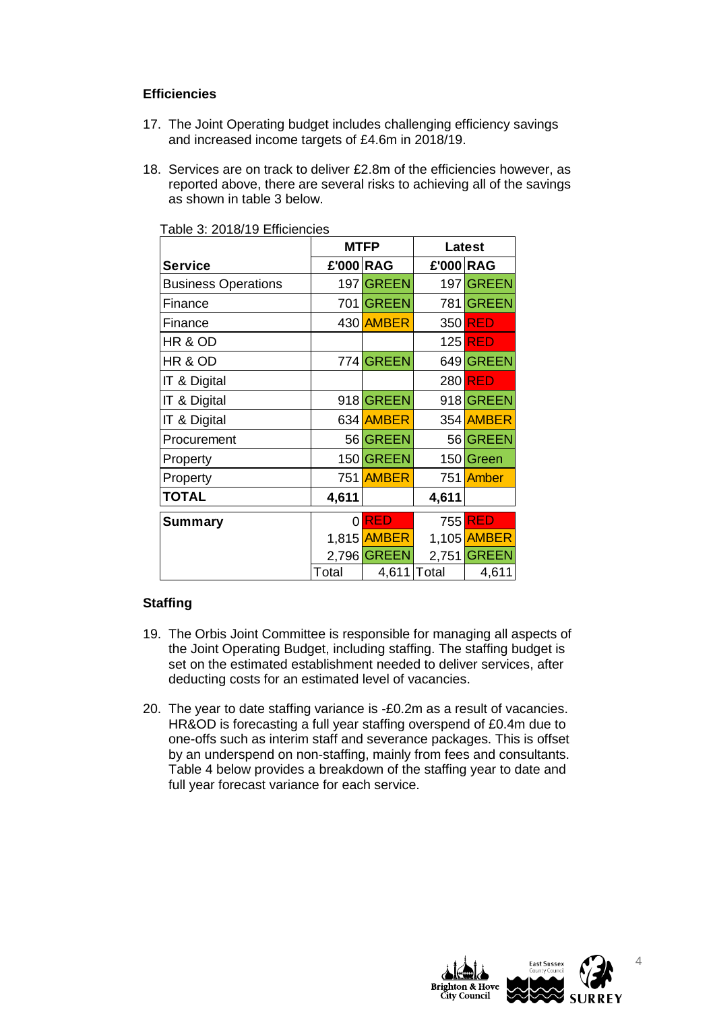## **Efficiencies**

- 17. The Joint Operating budget includes challenging efficiency savings and increased income targets of £4.6m in 2018/19.
- 18. Services are on track to deliver £2.8m of the efficiencies however, as reported above, there are several risks to achieving all of the savings as shown in table 3 below.

|                            | <b>MTFP</b> |              | Latest    |                |
|----------------------------|-------------|--------------|-----------|----------------|
| <b>Service</b>             | £'000 RAG   |              | £'000 RAG |                |
| <b>Business Operations</b> |             | 197 GREEN    |           | 197 GREEN      |
| Finance                    | 701         | <b>GREEN</b> | 781       | <b>GREEN</b>   |
| Finance                    |             | 430 AMBER    | 350       | <b>RED</b>     |
| HR & OD                    |             |              |           | 125 <b>RED</b> |
| HR & OD                    |             | 774 GREEN    |           | 649 GREEN      |
| IT & Digital               |             |              |           | 280 RED        |
| IT & Digital               |             | 918 GREEN    |           | 918 GREEN      |
| IT & Digital               |             | 634 AMBER    |           | 354 AMBER      |
| Procurement                |             | 56 GREEN     |           | 56 GREEN       |
| Property                   |             | 150 GREEN    |           | 150 Green      |
| Property                   |             | 751 AMBER    | 751       | Amber          |
| <b>TOTAL</b>               | 4,611       |              | 4,611     |                |
| Summary                    | 0           | <b>RED</b>   | 755       | <b>RED</b>     |
|                            | 1,815       | <b>AMBER</b> | 1,105     | <b>AMBER</b>   |
|                            |             | 2,796 GREEN  | 2,751     | <b>GREEN</b>   |
|                            | Total       | 4,611        | Total     | 4,611          |

Table 3: 2018/19 Efficiencies

### **Staffing**

- 19. The Orbis Joint Committee is responsible for managing all aspects of the Joint Operating Budget, including staffing. The staffing budget is set on the estimated establishment needed to deliver services, after deducting costs for an estimated level of vacancies.
- 20. The year to date staffing variance is -£0.2m as a result of vacancies. HR&OD is forecasting a full year staffing overspend of £0.4m due to one-offs such as interim staff and severance packages. This is offset by an underspend on non-staffing, mainly from fees and consultants. Table 4 below provides a breakdown of the staffing year to date and full year forecast variance for each service.



4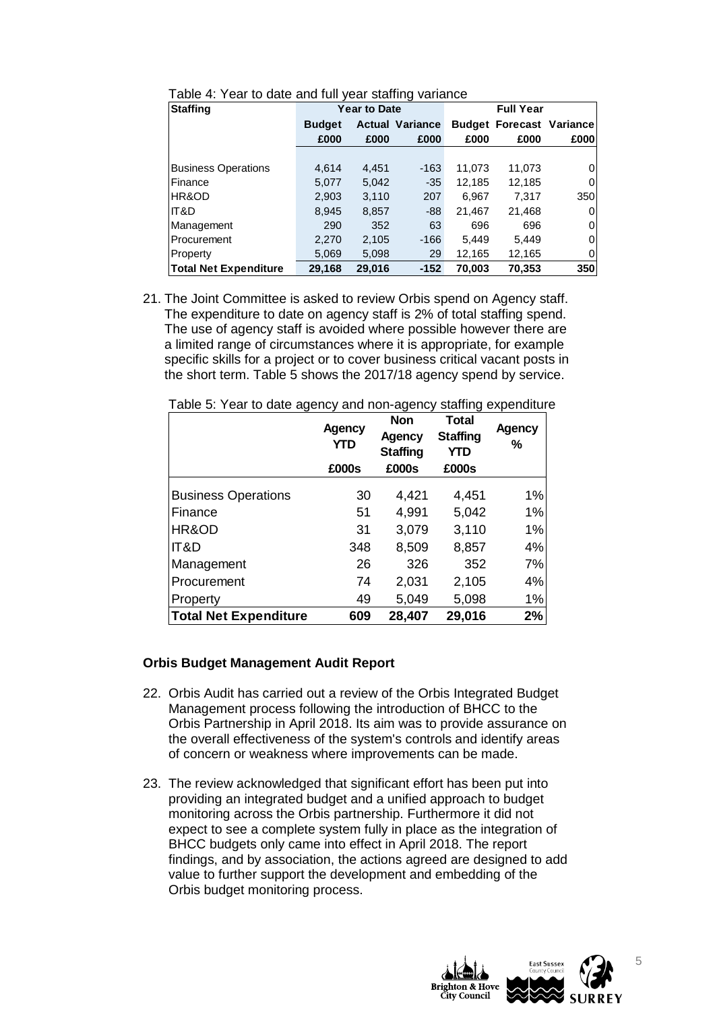| <b>Staffing</b>              | <b>Year to Date</b> |        |                        | <b>Full Year</b> |                                 |      |
|------------------------------|---------------------|--------|------------------------|------------------|---------------------------------|------|
|                              | <b>Budget</b>       |        | <b>Actual Variance</b> |                  | <b>Budget Forecast Variance</b> |      |
|                              | £000                | £000   | £000                   | £000             | £000                            | £000 |
|                              |                     |        |                        |                  |                                 |      |
| <b>Business Operations</b>   | 4.614               | 4.451  | $-163$                 | 11,073           | 11,073                          | 0    |
| Finance                      | 5,077               | 5,042  | $-35$                  | 12,185           | 12,185                          | 0    |
| HR&OD                        | 2,903               | 3.110  | 207                    | 6,967            | 7,317                           | 350  |
| IIT&D                        | 8,945               | 8,857  | $-88$                  | 21,467           | 21,468                          | 0    |
| Management                   | 290                 | 352    | 63                     | 696              | 696                             | 0    |
| Procurement                  | 2,270               | 2,105  | $-166$                 | 5,449            | 5.449                           | 0    |
| Property                     | 5.069               | 5,098  | 29                     | 12,165           | 12,165                          | 0    |
| <b>Total Net Expenditure</b> | 29,168              | 29,016 | $-152$                 | 70,003           | 70,353                          | 350  |

Table 4: Year to date and full year staffing variance

21. The Joint Committee is asked to review Orbis spend on Agency staff. The expenditure to date on agency staff is 2% of total staffing spend. The use of agency staff is avoided where possible however there are a limited range of circumstances where it is appropriate, for example specific skills for a project or to cover business critical vacant posts in the short term. Table 5 shows the 2017/18 agency spend by service.

|                              | <b>Agency</b><br><b>YTD</b><br>£000s | <b>Non</b><br><b>Agency</b><br><b>Staffing</b><br>£000s | <b>Total</b><br><b>Staffing</b><br><b>YTD</b><br>£000s | Agency<br>% |
|------------------------------|--------------------------------------|---------------------------------------------------------|--------------------------------------------------------|-------------|
|                              |                                      |                                                         |                                                        |             |
| <b>Business Operations</b>   | 30                                   | 4,421                                                   | 4,451                                                  | 1%          |
| Finance                      | 51                                   | 4,991                                                   | 5,042                                                  | 1%          |
| HR&OD                        | 31                                   | 3,079                                                   | 3,110                                                  | 1%          |
| IT&D                         | 348                                  | 8,509                                                   | 8,857                                                  | 4%          |
| Management                   | 26                                   | 326                                                     | 352                                                    | 7%          |
| Procurement                  | 74                                   | 2,031                                                   | 2,105                                                  | 4%          |
| Property                     | 49                                   | 5,049                                                   | 5,098                                                  | 1%          |
| <b>Total Net Expenditure</b> | 609                                  | 28,407                                                  | 29,016                                                 | 2%          |

| Table 5: Year to date agency and non-agency staffing expenditure |  |  |
|------------------------------------------------------------------|--|--|
|                                                                  |  |  |

#### **Orbis Budget Management Audit Report**

- 22. Orbis Audit has carried out a review of the Orbis Integrated Budget Management process following the introduction of BHCC to the Orbis Partnership in April 2018. Its aim was to provide assurance on the overall effectiveness of the system's controls and identify areas of concern or weakness where improvements can be made.
- 23. The review acknowledged that significant effort has been put into providing an integrated budget and a unified approach to budget monitoring across the Orbis partnership. Furthermore it did not expect to see a complete system fully in place as the integration of BHCC budgets only came into effect in April 2018. The report findings, and by association, the actions agreed are designed to add value to further support the development and embedding of the Orbis budget monitoring process.